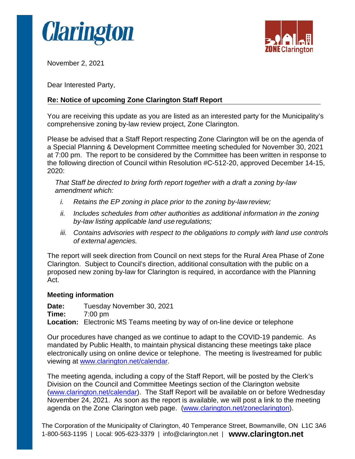



November 2, 2021

Dear Interested Party,

## **Re: Notice of upcoming Zone Clarington Staff Report**

You are receiving this update as you are listed as an interested party for the Municipality's comprehensive zoning by-law review project, Zone Clarington.

Please be advised that a Staff Report respecting Zone Clarington will be on the agenda of a Special Planning & Development Committee meeting scheduled for November 30, 2021 at 7:00 pm. The report to be considered by the Committee has been written in response to the following direction of Council within Resolution #C-512-20, approved December 14-15, 2020:

*That Staff be directed to bring forth report together with a draft a zoning by-law amendment which:*

- *i. Retains the EP zoning in place prior to the zoning by-law review;*
- *ii. Includes schedules from other authorities as additional information in the zoning by-law listing applicable land use regulations;*
- *iii. Contains advisories with respect to the obligations to comply with land use controls of external agencies.*

The report will seek direction from Council on next steps for the Rural Area Phase of Zone Clarington. Subject to Council's direction, additional consultation with the public on a proposed new zoning by-law for Clarington is required, in accordance with the Planning Act.

## **Meeting information**

**Date:** Tuesday November 30, 2021<br>Time: 7:00 pm **Time:** 7:00 pm **Location:** Electronic MS Teams meeting by way of on-line device or telephone

Our procedures have changed as we continue to adapt to the COVID-19 pandemic. As mandated by Public Health, to maintain physical distancing these meetings take place electronically using on online device or telephone. The meeting is livestreamed for public viewing at [www.clarington.net/calendar.](http://www.clarington.net/calendar)

The meeting agenda, including a copy of the Staff Report, will be posted by the Clerk's Division on the Council and Committee Meetings section of the Clarington website [\(www.clarington.net/calendar\)](http://www.clarington.net/calendar). The Staff Report will be available on or before Wednesday November 24, 2021. As soon as the report is available, we will post a link to the meeting agenda on the Zone Clarington web page. [\(www.clarington.net/zoneclarington\)](http://www.clarington.net/zoneclarington).

The Corporation of the Municipality of Clarington, 40 Temperance Street, Bowmanville, ON L1C 3A6 1-800-563-1195 | Local: 905-623-3379 | [info@clarington.net](mailto:info@clarington.net) | **[www.clarington.net](http://www.clarington.net/)**